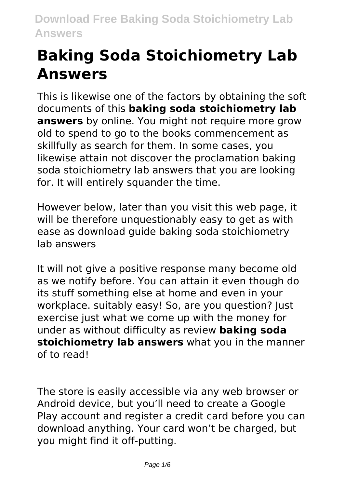# **Baking Soda Stoichiometry Lab Answers**

This is likewise one of the factors by obtaining the soft documents of this **baking soda stoichiometry lab answers** by online. You might not require more grow old to spend to go to the books commencement as skillfully as search for them. In some cases, you likewise attain not discover the proclamation baking soda stoichiometry lab answers that you are looking for. It will entirely squander the time.

However below, later than you visit this web page, it will be therefore unquestionably easy to get as with ease as download guide baking soda stoichiometry lab answers

It will not give a positive response many become old as we notify before. You can attain it even though do its stuff something else at home and even in your workplace. suitably easy! So, are you question? Just exercise just what we come up with the money for under as without difficulty as review **baking soda stoichiometry lab answers** what you in the manner of to read!

The store is easily accessible via any web browser or Android device, but you'll need to create a Google Play account and register a credit card before you can download anything. Your card won't be charged, but you might find it off-putting.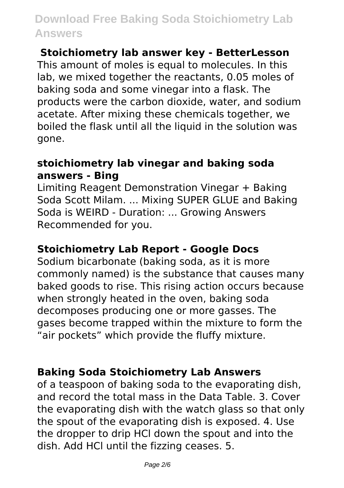#### **Stoichiometry lab answer key - BetterLesson**

This amount of moles is equal to molecules. In this lab, we mixed together the reactants, 0.05 moles of baking soda and some vinegar into a flask. The products were the carbon dioxide, water, and sodium acetate. After mixing these chemicals together, we boiled the flask until all the liquid in the solution was gone.

#### **stoichiometry lab vinegar and baking soda answers - Bing**

Limiting Reagent Demonstration Vinegar + Baking Soda Scott Milam. ... Mixing SUPER GLUE and Baking Soda is WEIRD - Duration: ... Growing Answers Recommended for you.

#### **Stoichiometry Lab Report - Google Docs**

Sodium bicarbonate (baking soda, as it is more commonly named) is the substance that causes many baked goods to rise. This rising action occurs because when strongly heated in the oven, baking soda decomposes producing one or more gasses. The gases become trapped within the mixture to form the "air pockets" which provide the fluffy mixture.

#### **Baking Soda Stoichiometry Lab Answers**

of a teaspoon of baking soda to the evaporating dish, and record the total mass in the Data Table. 3. Cover the evaporating dish with the watch glass so that only the spout of the evaporating dish is exposed. 4. Use the dropper to drip HCl down the spout and into the dish. Add HCl until the fizzing ceases. 5.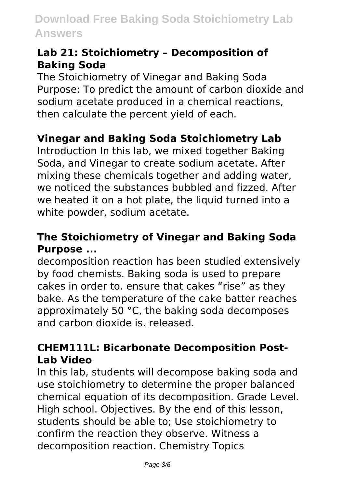#### **Lab 21: Stoichiometry – Decomposition of Baking Soda**

The Stoichiometry of Vinegar and Baking Soda Purpose: To predict the amount of carbon dioxide and sodium acetate produced in a chemical reactions, then calculate the percent yield of each.

#### **Vinegar and Baking Soda Stoichiometry Lab**

Introduction In this lab, we mixed together Baking Soda, and Vinegar to create sodium acetate. After mixing these chemicals together and adding water, we noticed the substances bubbled and fizzed. After we heated it on a hot plate, the liquid turned into a white powder, sodium acetate.

#### **The Stoichiometry of Vinegar and Baking Soda Purpose ...**

decomposition reaction has been studied extensively by food chemists. Baking soda is used to prepare cakes in order to. ensure that cakes "rise" as they bake. As the temperature of the cake batter reaches approximately 50 °C, the baking soda decomposes and carbon dioxide is. released.

#### **CHEM111L: Bicarbonate Decomposition Post-Lab Video**

In this lab, students will decompose baking soda and use stoichiometry to determine the proper balanced chemical equation of its decomposition. Grade Level. High school. Objectives. By the end of this lesson, students should be able to; Use stoichiometry to confirm the reaction they observe. Witness a decomposition reaction. Chemistry Topics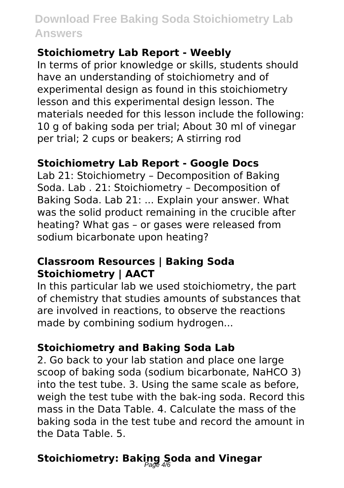#### **Stoichiometry Lab Report - Weebly**

In terms of prior knowledge or skills, students should have an understanding of stoichiometry and of experimental design as found in this stoichiometry lesson and this experimental design lesson. The materials needed for this lesson include the following: 10 g of baking soda per trial; About 30 ml of vinegar per trial; 2 cups or beakers; A stirring rod

#### **Stoichiometry Lab Report - Google Docs**

Lab 21: Stoichiometry – Decomposition of Baking Soda. Lab . 21: Stoichiometry – Decomposition of Baking Soda. Lab 21: ... Explain your answer. What was the solid product remaining in the crucible after heating? What gas - or gases were released from sodium bicarbonate upon heating?

#### **Classroom Resources | Baking Soda Stoichiometry | AACT**

In this particular lab we used stoichiometry, the part of chemistry that studies amounts of substances that are involved in reactions, to observe the reactions made by combining sodium hydrogen...

#### **Stoichiometry and Baking Soda Lab**

2. Go back to your lab station and place one large scoop of baking soda (sodium bicarbonate, NaHCO 3) into the test tube. 3. Using the same scale as before, weigh the test tube with the bak-ing soda. Record this mass in the Data Table. 4. Calculate the mass of the baking soda in the test tube and record the amount in the Data Table. 5.

## **Stoichiometry: Baking Soda and Vinegar** Page 4/6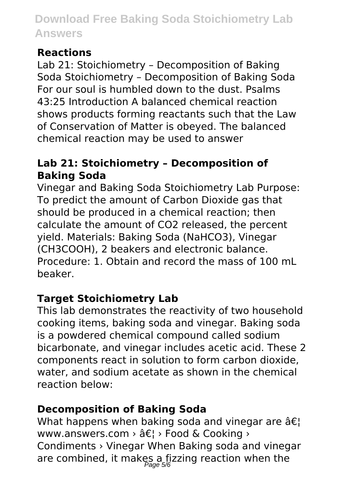#### **Reactions**

Lab 21: Stoichiometry – Decomposition of Baking Soda Stoichiometry – Decomposition of Baking Soda For our soul is humbled down to the dust. Psalms 43:25 Introduction A balanced chemical reaction shows products forming reactants such that the Law of Conservation of Matter is obeyed. The balanced chemical reaction may be used to answer

#### **Lab 21: Stoichiometry – Decomposition of Baking Soda**

Vinegar and Baking Soda Stoichiometry Lab Purpose: To predict the amount of Carbon Dioxide gas that should be produced in a chemical reaction; then calculate the amount of CO2 released, the percent yield. Materials: Baking Soda (NaHCO3), Vinegar (CH3COOH), 2 beakers and electronic balance. Procedure: 1. Obtain and record the mass of 100 mL beaker.

#### **Target Stoichiometry Lab**

This lab demonstrates the reactivity of two household cooking items, baking soda and vinegar. Baking soda is a powdered chemical compound called sodium bicarbonate, and vinegar includes acetic acid. These 2 components react in solution to form carbon dioxide, water, and sodium acetate as shown in the chemical reaction below:

#### **Decomposition of Baking Soda**

What happens when baking soda and vinegar are  $\hat{a}\epsilon$ ! www.answers.com  $\rightarrow$   $\hat{a} \in I$   $\rightarrow$  Food & Cooking  $\rightarrow$ Condiments › Vinegar When Baking soda and vinegar are combined, it makes a fizzing reaction when the